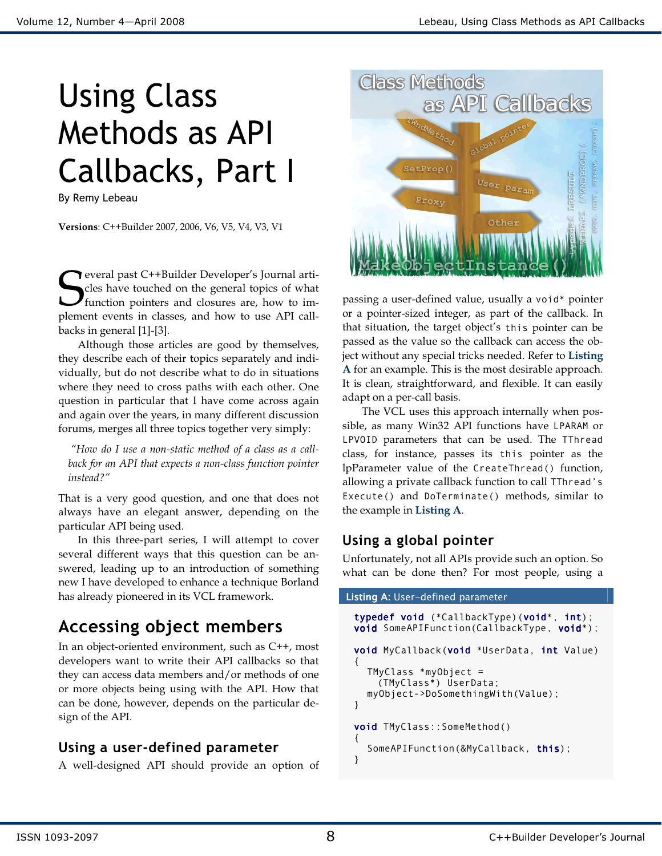# Using Class Methods as API Callbacks, Part I

By Remy Lebeau

Versions: C++Builder 2007, 2006, V6, V5, V4, V3, V1

everal past C++Builder Developer's Journal articles have touched on the general topics of what function pointers and closures are, how to im-**S** everal past C++Builder Developer's Journal articles have touched on the general topics of what function pointers and closures are, how to implement events in classes, and how to use API callbacks in general [1]-[3].

Although those articles are good by themselves, they describe each of their topics separately and individually, but do not describe what to do in situations where they need to cross paths with each other. One question in particular that I have come across again and again over the years, in many different discussion forums, merges all three topics together very simply:

 "How do I use a non-static method of a class as a callback for an API that expects a non-class function pointer instead?"

That is a very good question, and one that does not always have an elegant answer, depending on the particular API being used.

 In this three-part series, I will attempt to cover several different ways that this question can be answered, leading up to an introduction of something new I have developed to enhance a technique Borland has already pioneered in its VCL framework.

# Accessing object members

In an object-oriented environment, such as C++, most developers want to write their API callbacks so that they can access data members and/or methods of one or more objects being using with the API. How that can be done, however, depends on the particular design of the API.

## Using a user-defined parameter

A well-designed API should provide an option of



passing a user-defined value, usually a void\* pointer or a pointer-sized integer, as part of the callback. In that situation, the target object's this pointer can be passed as the value so the callback can access the object without any special tricks needed. Refer to Listing A for an example. This is the most desirable approach. It is clean, straightforward, and flexible. It can easily adapt on a per-call basis.

 The VCL uses this approach internally when possible, as many Win32 API functions have LPARAM or LPVOID parameters that can be used. The TThread class, for instance, passes its this pointer as the lpParameter value of the CreateThread() function, allowing a private callback function to call TThread's Execute() and DoTerminate() methods, similar to the example in Listing A.

## Using a global pointer

Unfortunately, not all APIs provide such an option. So what can be done then? For most people, using a

#### Listing A: User-defined parameter typedef void (\*CallbackType)(void\*, int); void SomeAPIFunction(CallbackType, void\*); void MyCallback(void \*UserData, int Value) { TMyClass \*myObject = (TMyClass\*) UserData; myObject->DoSomethingWith(Value); } void TMyClass::SomeMethod() { SomeAPIFunction(&MyCallback, this); }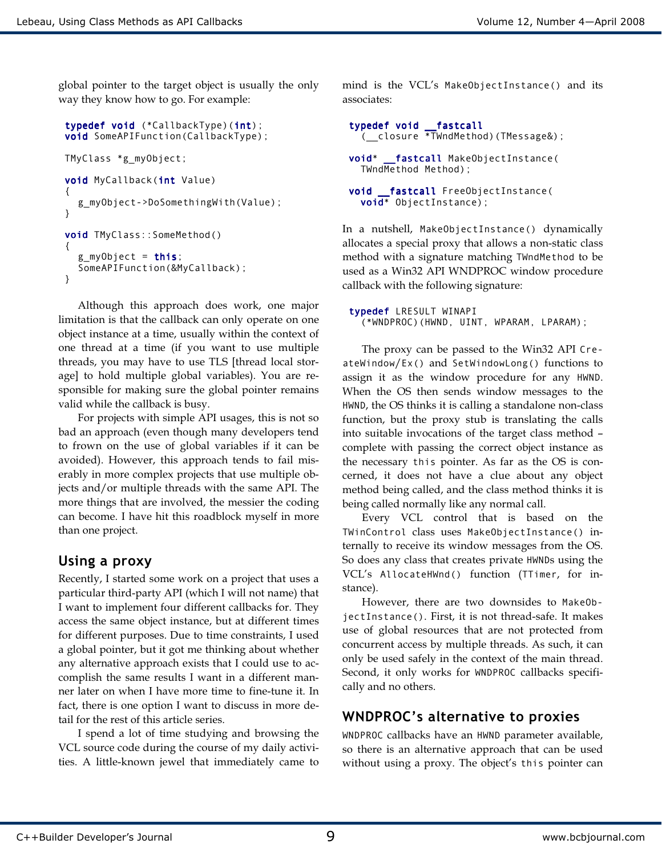global pointer to the target object is usually the only way they know how to go. For example:

```
typedef void (*CallbackType)(int);
void SomeAPIFunction(CallbackType); 
TMyClass *g_myObject; 
void MyCallback(int Value) 
{ 
   g_myObject->DoSomethingWith(Value); 
} 
void TMyClass::SomeMethod() 
{ 
  g_myObject = this;
   SomeAPIFunction(&MyCallback); 
}
```
Although this approach does work, one major limitation is that the callback can only operate on one object instance at a time, usually within the context of one thread at a time (if you want to use multiple threads, you may have to use TLS [thread local storage] to hold multiple global variables). You are responsible for making sure the global pointer remains valid while the callback is busy.

For projects with simple API usages, this is not so bad an approach (even though many developers tend to frown on the use of global variables if it can be avoided). However, this approach tends to fail miserably in more complex projects that use multiple objects and/or multiple threads with the same API. The more things that are involved, the messier the coding can become. I have hit this roadblock myself in more than one project.

## Using a proxy

Recently, I started some work on a project that uses a particular third-party API (which I will not name) that I want to implement four different callbacks for. They access the same object instance, but at different times for different purposes. Due to time constraints, I used a global pointer, but it got me thinking about whether any alternative approach exists that I could use to accomplish the same results I want in a different manner later on when I have more time to fine-tune it. In fact, there is one option I want to discuss in more detail for the rest of this article series.

I spend a lot of time studying and browsing the VCL source code during the course of my daily activities. A little-known jewel that immediately came to mind is the VCL's MakeObjectInstance() and its associates:

```
typedef void __fastcall 
  ( closure *TWndMethod)(TMessage&);
void* fastcall MakeObjectInstance(
   TWndMethod Method); 
void fastcall FreeObjectInstance(
   void* ObjectInstance);
```
In a nutshell, MakeObjectInstance() dynamically allocates a special proxy that allows a non-static class method with a signature matching TWndMethod to be used as a Win32 API WNDPROC window procedure callback with the following signature:

typedef LRESULT WINAPI (\*WNDPROC)(HWND, UINT, WPARAM, LPARAM);

 The proxy can be passed to the Win32 API CreateWindow/Ex() and SetWindowLong() functions to assign it as the window procedure for any HWND. When the OS then sends window messages to the HWND, the OS thinks it is calling a standalone non-class function, but the proxy stub is translating the calls into suitable invocations of the target class method – complete with passing the correct object instance as the necessary this pointer. As far as the OS is concerned, it does not have a clue about any object method being called, and the class method thinks it is being called normally like any normal call.

Every VCL control that is based on the TWinControl class uses MakeObjectInstance() internally to receive its window messages from the OS. So does any class that creates private HWNDs using the VCL's AllocateHWnd() function (TTimer, for instance).

However, there are two downsides to MakeObjectInstance(). First, it is not thread-safe. It makes use of global resources that are not protected from concurrent access by multiple threads. As such, it can only be used safely in the context of the main thread. Second, it only works for WNDPROC callbacks specifically and no others.

## WNDPROC's alternative to proxies

WNDPROC callbacks have an HWND parameter available, so there is an alternative approach that can be used without using a proxy. The object's this pointer can